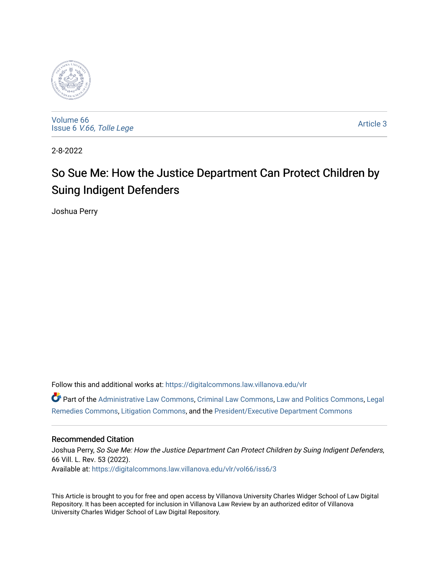

[Volume 66](https://digitalcommons.law.villanova.edu/vlr/vol66) Issue 6 [V.66, Tolle Lege](https://digitalcommons.law.villanova.edu/vlr/vol66/iss6) 

[Article 3](https://digitalcommons.law.villanova.edu/vlr/vol66/iss6/3) 

2-8-2022

# So Sue Me: How the Justice Department Can Protect Children by Suing Indigent Defenders

Joshua Perry

Follow this and additional works at: [https://digitalcommons.law.villanova.edu/vlr](https://digitalcommons.law.villanova.edu/vlr?utm_source=digitalcommons.law.villanova.edu%2Fvlr%2Fvol66%2Fiss6%2F3&utm_medium=PDF&utm_campaign=PDFCoverPages)

Part of the [Administrative Law Commons,](http://network.bepress.com/hgg/discipline/579?utm_source=digitalcommons.law.villanova.edu%2Fvlr%2Fvol66%2Fiss6%2F3&utm_medium=PDF&utm_campaign=PDFCoverPages) [Criminal Law Commons,](http://network.bepress.com/hgg/discipline/912?utm_source=digitalcommons.law.villanova.edu%2Fvlr%2Fvol66%2Fiss6%2F3&utm_medium=PDF&utm_campaign=PDFCoverPages) [Law and Politics Commons](http://network.bepress.com/hgg/discipline/867?utm_source=digitalcommons.law.villanova.edu%2Fvlr%2Fvol66%2Fiss6%2F3&utm_medium=PDF&utm_campaign=PDFCoverPages), [Legal](http://network.bepress.com/hgg/discipline/618?utm_source=digitalcommons.law.villanova.edu%2Fvlr%2Fvol66%2Fiss6%2F3&utm_medium=PDF&utm_campaign=PDFCoverPages)  [Remedies Commons,](http://network.bepress.com/hgg/discipline/618?utm_source=digitalcommons.law.villanova.edu%2Fvlr%2Fvol66%2Fiss6%2F3&utm_medium=PDF&utm_campaign=PDFCoverPages) [Litigation Commons](http://network.bepress.com/hgg/discipline/910?utm_source=digitalcommons.law.villanova.edu%2Fvlr%2Fvol66%2Fiss6%2F3&utm_medium=PDF&utm_campaign=PDFCoverPages), and the [President/Executive Department Commons](http://network.bepress.com/hgg/discipline/1118?utm_source=digitalcommons.law.villanova.edu%2Fvlr%2Fvol66%2Fiss6%2F3&utm_medium=PDF&utm_campaign=PDFCoverPages) 

# Recommended Citation

Joshua Perry, So Sue Me: How the Justice Department Can Protect Children by Suing Indigent Defenders, 66 Vill. L. Rev. 53 (2022). Available at: [https://digitalcommons.law.villanova.edu/vlr/vol66/iss6/3](https://digitalcommons.law.villanova.edu/vlr/vol66/iss6/3?utm_source=digitalcommons.law.villanova.edu%2Fvlr%2Fvol66%2Fiss6%2F3&utm_medium=PDF&utm_campaign=PDFCoverPages) 

This Article is brought to you for free and open access by Villanova University Charles Widger School of Law Digital Repository. It has been accepted for inclusion in Villanova Law Review by an authorized editor of Villanova University Charles Widger School of Law Digital Repository.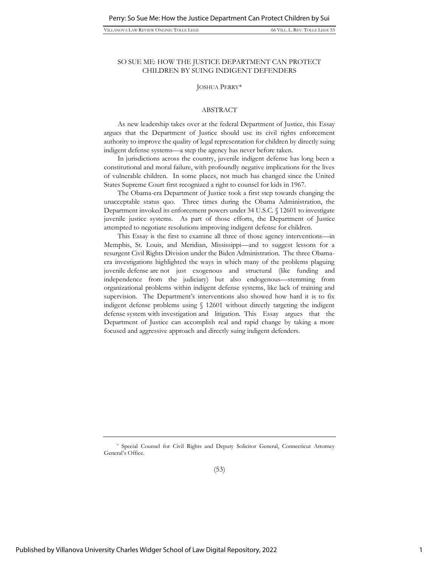#### SO SUE ME: HOW THE JUSTICE DEPARTMENT CAN PROTECT CHILDREN BY SUING INDIGENT DEFENDERS

#### JOSHUA PERRY\*

#### ABSTRACT

As new leadership takes over at the federal Department of Justice, this Essay argues that the Department of Justice should use its civil rights enforcement authority to improve the quality of legal representation for children by directly suing indigent defense systems—a step the agency has never before taken.

In jurisdictions across the country, juvenile indigent defense has long been a constitutional and moral failure, with profoundly negative implications for the lives of vulnerable children. In some places, not much has changed since the United States Supreme Court first recognized a right to counsel for kids in 1967.

The Obama-era Department of Justice took a first step towards changing the unacceptable status quo. Three times during the Obama Administration, the Department invoked its enforcement powers under 34 U.S.C. § 12601 to investigate juvenile justice systems. As part of those efforts, the Department of Justice attempted to negotiate resolutions improving indigent defense for children.

This Essay is the first to examine all three of those agency interventions—in Memphis, St. Louis, and Meridian, Mississippi—and to suggest lessons for a resurgent Civil Rights Division under the Biden Administration. The three Obamaera investigations highlighted the ways in which many of the problems plaguing juvenile defense are not just exogenous and structural (like funding and independence from the judiciary) but also endogenous—stemming from organizational problems within indigent defense systems, like lack of training and supervision. The Department's interventions also showed how hard it is to fix indigent defense problems using § 12601 without directly targeting the indigent defense system with investigation and litigation. This Essay argues that the Department of Justice can accomplish real and rapid change by taking a more focused and aggressive approach and directly suing indigent defenders.

<sup>\*</sup> Special Counsel for Civil Rights and Deputy Solicitor General, Connecticut Attorney General's Office.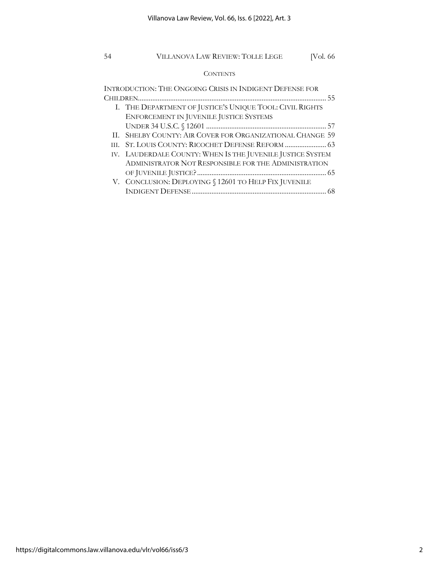## **CONTENTS**

| INTRODUCTION: THE ONGOING CRISIS IN INDIGENT DEFENSE FOR   |
|------------------------------------------------------------|
|                                                            |
| I. THE DEPARTMENT OF JUSTICE'S UNIQUE TOOL: CIVIL RIGHTS   |
| ENFORCEMENT IN JUVENILE JUSTICE SYSTEMS                    |
|                                                            |
| II. SHELBY COUNTY: AIR COVER FOR ORGANIZATIONAL CHANGE 59  |
| HL.                                                        |
| IV. LAUDERDALE COUNTY: WHEN IS THE JUVENILE JUSTICE SYSTEM |
| ADMINISTRATOR NOT RESPONSIBLE FOR THE ADMINISTRATION       |
|                                                            |
| V. CONCLUSION: DEPLOYING § 12601 TO HELP FIX JUVENILE      |
|                                                            |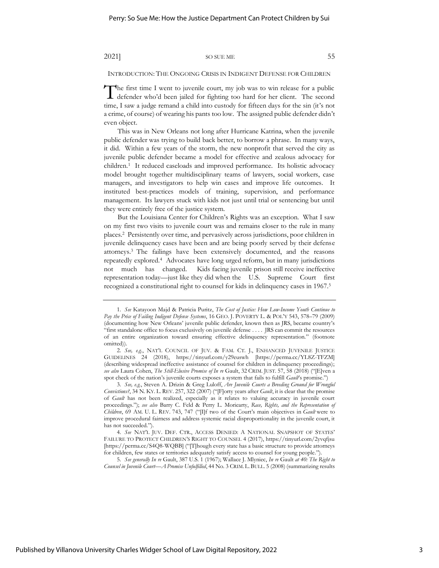INTRODUCTION: THE ONGOING CRISIS IN INDIGENT DEFENSE FOR CHILDREN

he first time I went to juvenile court, my job was to win release for a public The first time I went to juvenile court, my job was to win release for a public defender who'd been jailed for fighting too hard for her client. The second time, I saw a judge remand a child into custody for fifteen days for the sin (it's not a crime, of course) of wearing his pants too low. The assigned public defender didn't even object.

This was in New Orleans not long after Hurricane Katrina, when the juvenile public defender was trying to build back better, to borrow a phrase. In many ways, it did. Within a few years of the storm, the new nonprofit that served the city as juvenile public defender became a model for effective and zealous advocacy for children.<sup>1</sup> It reduced caseloads and improved performance. Its holistic advocacy model brought together multidisciplinary teams of lawyers, social workers, case managers, and investigators to help win cases and improve life outcomes. It instituted best-practices models of training, supervision, and performance management. Its lawyers stuck with kids not just until trial or sentencing but until they were entirely free of the justice system.

But the Louisiana Center for Children's Rights was an exception. What I saw on my first two visits to juvenile court was and remains closer to the rule in many places.<sup>2</sup> Persistently over time, and pervasively across jurisdictions, poor children in juvenile delinquency cases have been and are being poorly served by their defense attorneys.<sup>3</sup> The failings have been extensively documented, and the reasons repeatedly explored.<sup>4</sup> Advocates have long urged reform, but in many jurisdictions not much has changed. Kids facing juvenile prison still receive ineffective representation today—just like they did when the U.S. Supreme Court first recognized a constitutional right to counsel for kids in delinquency cases in 1967.<sup>5</sup>

<sup>1.</sup> *See* Katayoon Majd & Patricia Puritz, *The Cost of Justice: How Low-Income Youth Continue to Pay the Price of Failing Indigent Defense Systems*, 16 GEO. J. POVERTY L. & POL'Y 543, 578–79 (2009) (documenting how New Orleans' juvenile public defender, known then as JRS, became country's "first standalone office to focus exclusively on juvenile defense . . . . JRS can commit the resources of an entire organization toward ensuring effective delinquency representation." (footnote omitted)).

<sup>2.</sup> *See, e.g.*, NAT'L COUNCIL OF JUV. & FAM. CT. J., ENHANCED JUVENILE JUSTICE GUIDELINES 24 (2018), https://tinyurl.com/y29euswh [https://perma.cc/YL8Z-TFZM] (describing widespread ineffective assistance of counsel for children in delinquency proceedings); *see also* Laura Cohen, *The Still-Elusive Promise of In re* Gault, 32 CRIM. JUST. 57, 58 (2018) ("[E]ven a spot check of the nation's juvenile courts exposes a system that fails to fulfill *Gault*'s promise.")

<sup>3.</sup> *See, e.g.*, Steven A. Drizin & Greg Luloff, *Are Juvenile Courts a Breeding Ground for Wrongful Convictions?*, 34 N. KY. L. REV. 257, 322 (2007) ("[F]orty years after *Gault*, it is clear that the promise of *Gault* has not been realized, especially as it relates to valuing accuracy in juvenile court proceedings."); *see also* Barry C. Feld & Perry L. Moriearty, *Race, Rights, and the Representation of Children*, 69 AM. U. L. REV. 743, 747 ("[I]f two of the Court's main objectives in *Gault* were to improve procedural fairness and address systemic racial disproportionality in the juvenile court, it has not succeeded.").

<sup>4.</sup> *See* NAT'L JUV. DEF. CTR., ACCESS DENIED: A NATIONAL SNAPSHOT OF STATES' FAILURE TO PROTECT CHILDREN'S RIGHT TO COUNSEL 4 (2017), https://tinyurl.com/2yvqfjsu [https://perma.cc/S4Q8-WQBB] ("[T]hough every state has a basic structure to provide attorneys for children, few states or territories adequately satisfy access to counsel for young people.").

<sup>5.</sup> *See generally In re* Gault, 387 U.S. 1 (1967); Wallace J. Mlyniec, *In re* Gault *at 40: The Right to Counsel in Juvenile Court—A Promise Unfulfilled*, 44 No. 3 CRIM.L.BULL. 5 (2008) (summarizing results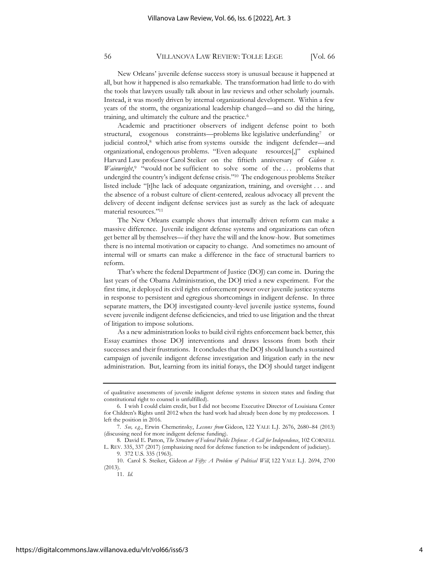New Orleans' juvenile defense success story is unusual because it happened at all, but how it happened is also remarkable. The transformation had little to do with the tools that lawyers usually talk about in law reviews and other scholarly journals. Instead, it was mostly driven by internal organizational development. Within a few years of the storm, the organizational leadership changed—and so did the hiring, training, and ultimately the culture and the practice.<sup>6</sup>

Academic and practitioner observers of indigent defense point to both structural, exogenous constraints—problems like legislative underfunding<sup>7</sup> or judicial control,<sup>8</sup> which arise from systems outside the indigent defender—and organizational, endogenous problems. "Even adequate resources[,]" explained Harvard Law professor Carol Steiker on the fiftieth anniversary of *Gideon v.*  Wainwright,<sup>9</sup> "would not be sufficient to solve some of the ... problems that undergird the country's indigent defense crisis." 10 The endogenous problems Steiker listed include "[t]he lack of adequate organization, training, and oversight . . . and the absence of a robust culture of client-centered, zealous advocacy all prevent the delivery of decent indigent defense services just as surely as the lack of adequate material resources." 11

The New Orleans example shows that internally driven reform can make a massive difference. Juvenile indigent defense systems and organizations can often get better all by themselves—if they have the will and the know-how. But sometimes there is no internal motivation or capacity to change. And sometimes no amount of internal will or smarts can make a difference in the face of structural barriers to reform.

That's where the federal Department of Justice (DOJ) can come in. During the last years of the Obama Administration, the DOJ tried a new experiment. For the first time, it deployed its civil rights enforcement power over juvenile justice systems in response to persistent and egregious shortcomings in indigent defense. In three separate matters, the DOJ investigated county-level juvenile justice systems, found severe juvenile indigent defense deficiencies, and tried to use litigation and the threat of litigation to impose solutions.

As a new administration looks to build civil rights enforcement back better, this Essay examines those DOJ interventions and draws lessons from both their successes and their frustrations. It concludes that the DOJ should launch a sustained campaign of juvenile indigent defense investigation and litigation early in the new administration. But, learning from its initial forays, the DOJ should target indigent

of qualitative assessments of juvenile indigent defense systems in sixteen states and finding that constitutional right to counsel is unfulfilled).

<sup>6.</sup> I wish I could claim credit, but I did not become Executive Director of Louisiana Center for Children's Rights until 2012 when the hard work had already been done by my predecessors. I left the position in 2016.

<sup>7.</sup> *See, e.g.*, Erwin Chemerinsky, *Lessons from* Gideon, 122 YALE L.J. 2676, 2680–84 (2013) (discussing need for more indigent defense funding).

<sup>8.</sup> David E. Patton, *The Structure of Federal Public Defense: A Call for Independence*, 102 CORNELL L. REV. 335, 337 (2017) (emphasizing need for defense function to be independent of judiciary).

<sup>9.</sup> 372 U.S. 335 (1963).

<sup>10.</sup> Carol S. Steiker, Gideon *at Fifty: A Problem of Political Will*, 122 YALE L.J. 2694, 2700 (2013).

<sup>11.</sup> *Id.*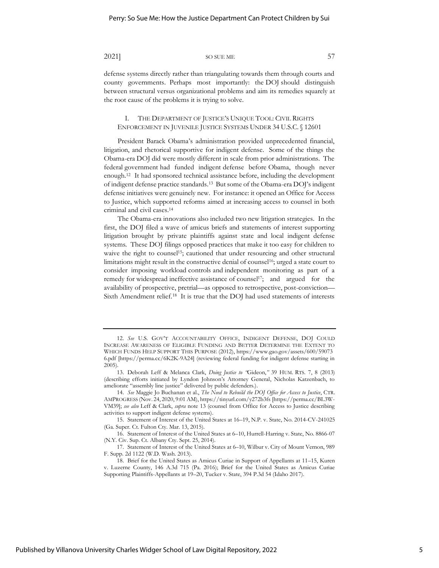defense systems directly rather than triangulating towards them through courts and county governments. Perhaps most importantly: the DOJ should distinguish between structural versus organizational problems and aim its remedies squarely at the root cause of the problems it is trying to solve.

#### I. THE DEPARTMENT OF JUSTICE'S UNIQUE TOOL: CIVIL RIGHTS ENFORCEMENT IN JUVENILE JUSTICE SYSTEMS UNDER 34 U.S.C. § 12601

President Barack Obama's administration provided unprecedented financial, litigation, and rhetorical supportive for indigent defense. Some of the things the Obama-era DOJ did were mostly different in scale from prior administrations. The federal government had funded indigent defense before Obama, though never enough.<sup>12</sup> It had sponsored technical assistance before, including the development of indigent defense practice standards.<sup>13</sup> But some of the Obama-era DOJ's indigent defense initiatives were genuinely new. For instance: it opened an Office for Access to Justice, which supported reforms aimed at increasing access to counsel in both criminal and civil cases.<sup>14</sup>

The Obama-era innovations also included two new litigation strategies. In the first, the DOJ filed a wave of amicus briefs and statements of interest supporting litigation brought by private plaintiffs against state and local indigent defense systems. These DOJ filings opposed practices that make it too easy for children to waive the right to counsel<sup>15</sup>; cautioned that under resourcing and other structural limitations might result in the constructive denial of counsel<sup>16</sup>; urged a state court to consider imposing workload controls and independent monitoring as part of a remedy for widespread ineffective assistance of counsel<sup>17</sup>; and argued for the availability of prospective, pretrial—as opposed to retrospective, post-conviction— Sixth Amendment relief.<sup>18</sup> It is true that the DOJ had used statements of interests

<sup>12.</sup> *See* U.S. GOV'T ACCOUNTABILITY OFFICE, INDIGENT DEFENSE, DOJ COULD INCREASE AWARENESS OF ELIGIBLE FUNDING AND BETTER DETERMINE THE EXTENT TO WHICH FUNDS HELP SUPPORT THIS PURPOSE (2012), https://www.gao.gov/assets/600/59073 6.pdf [https://perma.cc/6K2K-9A24] (reviewing federal funding for indigent defense starting in 2005).

<sup>13.</sup> Deborah Leff & Melanca Clark, *Doing Justice to "*Gideon,*"* 39 HUM. RTS. 7, 8 (2013) (describing efforts initiated by Lyndon Johnson's Attorney General, Nicholas Katzenbach, to ameliorate "assembly line justice" delivered by public defenders.).

<sup>14.</sup> *See* Maggie Jo Buchanan et al., *The Need to Rebuild the DOJ Office for Access to Justice*, CTR. AMPROGRESS (Nov. 24, 2020, 9:01 AM), https://tinyurl.com/y272b3fs [https://perma.cc/BL3W-VM39]; *see also* Leff & Clark, *supra* note 13 (counsel from Office for Access to Justice describing activities to support indigent defense systems).

<sup>15.</sup> Statement of Interest of the United States at 16–19, N.P. v. State, No. 2014-CV-241025 (Ga. Super. Ct. Fulton Cty. Mar. 13, 2015).

<sup>16.</sup> Statement of Interest of the United States at 6–10, Hurrell-Harring v. State, No. 8866-07 (N.Y. Civ. Sup. Ct. Albany Cty. Sept. 25, 2014).

<sup>17.</sup> Statement of Interest of the United States at 6–10, Wilbur v. City of Mount Vernon, 989 F. Supp. 2d 1122 (W.D. Wash. 2013).

<sup>18.</sup> Brief for the United States as Amicus Curiae in Support of Appellants at 11–15, Kuren v. Luzerne County, 146 A.3d 715 (Pa. 2016); Brief for the United States as Amicus Curiae Supporting Plaintiffs-Appellants at 19–20, Tucker v. State, 394 P.3d 54 (Idaho 2017).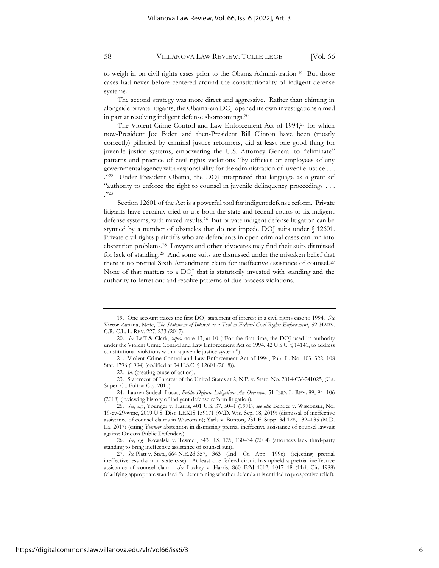to weigh in on civil rights cases prior to the Obama Administration.<sup>19</sup> But those cases had never before centered around the constitutionality of indigent defense systems.

The second strategy was more direct and aggressive. Rather than chiming in alongside private litigants, the Obama-era DOJ opened its own investigations aimed in part at resolving indigent defense shortcomings.<sup>20</sup>

The Violent Crime Control and Law Enforcement Act of 1994,<sup>21</sup> for which now-President Joe Biden and then-President Bill Clinton have been (mostly correctly) pilloried by criminal justice reformers, did at least one good thing for juvenile justice systems, empowering the U.S. Attorney General to "eliminate" patterns and practice of civil rights violations "by officials or employees of any governmental agency with responsibility for the administration of juvenile justice . . . ." 22 Under President Obama, the DOJ interpreted that language as a grant of "authority to enforce the right to counsel in juvenile delinquency proceedings . . . ." 23

Section 12601 of the Act is a powerful tool for indigent defense reform. Private litigants have certainly tried to use both the state and federal courts to fix indigent defense systems, with mixed results.<sup>24</sup> But private indigent defense litigation can be stymied by a number of obstacles that do not impede DOJ suits under § 12601. Private civil rights plaintiffs who are defendants in open criminal cases can run into abstention problems.<sup>25</sup> Lawyers and other advocates may find their suits dismissed for lack of standing.<sup>26</sup> And some suits are dismissed under the mistaken belief that there is no pretrial Sixth Amendment claim for ineffective assistance of counsel. <sup>27</sup> None of that matters to a DOJ that is statutorily invested with standing and the authority to ferret out and resolve patterns of due process violations.

21. Violent Crime Control and Law Enforcement Act of 1994, Pub. L. No. 103–322, 108 Stat. 1796 (1994) (codified at 34 U.S.C. § 12601 (2018)).

22. *Id.* (creating cause of action).

23. Statement of Interest of the United States at 2, N.P. v. State, No. 2014-CV-241025, (Ga. Super. Ct. Fulton Cty. 2015).

24. Lauren Sudeall Lucas, *Public Defense Litigation: An Overview*, 51 IND. L. REV. 89, 94–106 (2018) (reviewing history of indigent defense reform litigation).

26. *See, e.g.*, Kowalski v. Tesmer, 543 U.S. 125, 130–34 (2004) (attorneys lack third-party standing to bring ineffective assistance of counsel suit).

27. *See* Platt v. State, 664 N.E.2d 357, 363 (Ind. Ct. App. 1996) (rejecting pretrial ineffectiveness claim in state case). At least one federal circuit has upheld a pretrial ineffective assistance of counsel claim. *See* Luckey v. Harris, 860 F.2d 1012, 1017–18 (11th Cir. 1988) (clarifying appropriate standard for determining whether defendant is entitled to prospective relief).

<sup>19.</sup> One account traces the first DOJ statement of interest in a civil rights case to 1994. *See* Victor Zapana, Note, *The Statement of Interest as a Tool in Federal Civil Rights Enforcement*, 52 HARV. C.R.-C.L. L. REV. 227, 233 (2017).

<sup>20.</sup> *See* Leff & Clark, *supra* note 13, at 10 ("For the first time, the DOJ used its authority under the Violent Crime Control and Law Enforcement Act of 1994, 42 U.S.C. [§ 14141,](https://advance.lexis.com/api/document?collection=statutes-legislation&id=urn:contentItem:8SHT-0732-D6RV-H22Y-00000-00&context=) to address constitutional violations within a juvenile justice system.").

<sup>25.</sup> *See, e.g.*, Younger v. Harris, 401 U.S. 37, 50–1 (1971); *see also* Bender v. Wisconsin, No. 19-cv-29-wmc, 2019 U.S. Dist. LEXIS 159171 (W.D. Wis. Sep. 18, 2019) (dismissal of ineffective assistance of counsel claims in Wisconsin); Yarls v. Bunton, 231 F. Supp. 3d 128, 132–135 (M.D. La. 2017) (citing *Younger* abstention in dismissing pretrial ineffective assistance of counsel lawsuit against Orleans Public Defenders).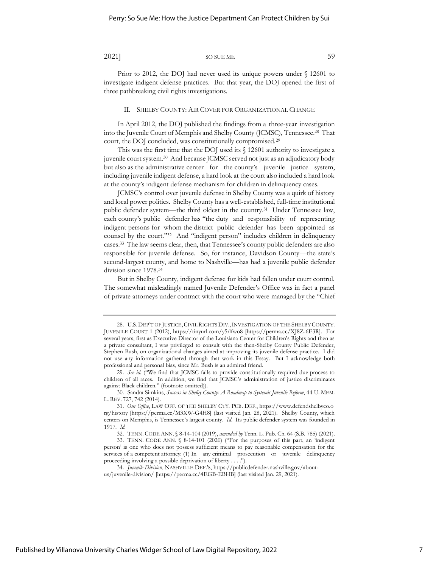Prior to 2012, the DOJ had never used its unique powers under § 12601 to investigate indigent defense practices. But that year, the DOJ opened the first of three pathbreaking civil rights investigations.

#### II. SHELBY COUNTY: AIR COVER FOR ORGANIZATIONAL CHANGE

In April 2012, the DOJ published the findings from a three-year investigation into the Juvenile Court of Memphis and Shelby County (JCMSC), Tennessee.<sup>28</sup> That court, the DOJ concluded, was constitutionally compromised.<sup>29</sup>

This was the first time that the DOJ used its § 12601 authority to investigate a juvenile court system.<sup>30</sup> And because JCMSC served not just as an adjudicatory body but also as the administrative center for the county's juvenile justice system, including juvenile indigent defense, a hard look at the court also included a hard look at the county's indigent defense mechanism for children in delinquency cases.

JCMSC's control over juvenile defense in Shelby County was a quirk of history and local power politics. Shelby County has a well-established, full-time institutional public defender system—the third oldest in the country.<sup>31</sup> Under Tennessee law, each county's public defender has "the duty and responsibility of representing indigent persons for whom the district public defender has been appointed as counsel by the court." 32 And "indigent person" includes children in delinquency cases.<sup>33</sup> The law seems clear, then, that Tennessee's county public defenders are also responsible for juvenile defense. So, for instance, Davidson County—the state's second-largest county, and home to Nashville—has had a juvenile public defender division since 1978.<sup>34</sup>

But in Shelby County, indigent defense for kids had fallen under court control. The somewhat misleadingly named Juvenile Defender's Office was in fact a panel of private attorneys under contract with the court who were managed by the "Chief

<sup>28.</sup> U.S.DEP'T OF JUSTICE,CIVILRIGHTS DIV.,INVESTIGATION OF THE SHELBY COUNTY. JUVENILE COURT 1 (2012), https://tinyurl.com/y5rlfwo8 [https://perma.cc/XJ8Z-6E3R]. For several years, first as Executive Director of the Louisiana Center for Children's Rights and then as a private consultant, I was privileged to consult with the then-Shelby County Public Defender, Stephen Bush, on organizational changes aimed at improving its juvenile defense practice. I did not use any information gathered through that work in this Essay. But I acknowledge both professional and personal bias, since Mr. Bush is an admired friend.

<sup>29.</sup> *See id.* ("We find that JCMSC fails to provide constitutionally required due process to children of all races. In addition, we find that JCMSC's administration of justice discriminates against Black children." (footnote omitted)).

<sup>30.</sup> Sandra Simkins, *Success in Shelby County: A Roadmap to Systemic Juvenile Reform*, 44 U. MEM. L. REV. 727, 742 (2014).

<sup>31.</sup> *Our Office*, LAW OFF. OF THE SHELBY CTY. PUB. DEF., https://www.defendshelbyco.o rg/history [https://perma.cc/M3XW-G4H8] (last visited Jan. 28, 2021). Shelby County, which centers on Memphis, is Tennessee's largest county. *Id.* Its public defender system was founded in 1917. *Id.*

<sup>32.</sup> TENN. CODE ANN. § 8-14-104 (2019), *amended by* Tenn. L. Pub. Ch. 64 (S.B. 785) (2021).

<sup>33.</sup> TENN. CODE ANN. § 8-14-101 (2020) ("For the purposes of this part, an 'indigent person' is one who does not possess sufficient means to pay reasonable compensation for the services of a competent attorney: (1) In any criminal prosecution or juvenile delinquency proceeding involving a possible deprivation of liberty . . . .").

<sup>34.</sup> *Juvenile Division*, NASHVILLE DEF.'S, https://publicdefender.nashville.gov/aboutus/juvenile-division/ [https://perma.cc/4EGB-EBHB] (last visited Jan. 29, 2021).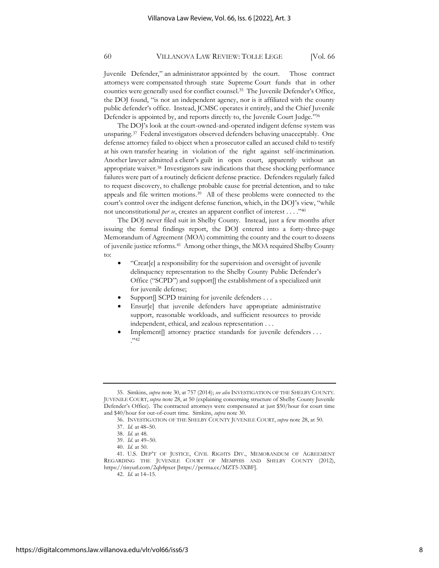Juvenile Defender," an administrator appointed by the court. Those contract attorneys were compensated through state Supreme Court funds that in other counties were generally used for conflict counsel.<sup>35</sup> The Juvenile Defender's Office, the DOJ found, "is not an independent agency, nor is it affiliated with the county public defender's office. Instead, JCMSC operates it entirely, and the Chief Juvenile Defender is appointed by, and reports directly to, the Juvenile Court Judge." 36

The DOJ's look at the court-owned-and-operated indigent defense system was unsparing.<sup>37</sup> Federal investigators observed defenders behaving unacceptably. One defense attorney failed to object when a prosecutor called an accused child to testify at his own transfer hearing in violation of the right against self-incrimination. Another lawyer admitted a client's guilt in open court, apparently without an appropriate waiver.<sup>38</sup> Investigators saw indications that these shocking performance failures were part of a routinely deficient defense practice. Defenders regularly failed to request discovery, to challenge probable cause for pretrial detention, and to take appeals and file written motions.<sup>39</sup> All of these problems were connected to the court's control over the indigent defense function, which, in the DOJ's view, "while not unconstitutional *per se*, creates an apparent conflict of interest . . . ." 40

The DOJ never filed suit in Shelby County. Instead, just a few months after issuing the formal findings report, the DOJ entered into a forty-three-page Memorandum of Agreement (MOA) committing the county and the court to dozens of juvenile justice reforms.<sup>41</sup> Among other things, the MOA required Shelby County to:

- "Creat[e] a responsibility for the supervision and oversight of juvenile delinquency representation to the Shelby County Public Defender's Office ("SCPD") and support[] the establishment of a specialized unit for juvenile defense;
- Support SCPD training for juvenile defenders . . .
- Ensur[e] that juvenile defenders have appropriate administrative support, reasonable workloads, and sufficient resources to provide independent, ethical, and zealous representation . . .
- Implement<sup>[]</sup> attorney practice standards for juvenile defenders ... ." 42

<sup>35.</sup> Simkins, *supra* note 30, at 757 (2014); *see also* INVESTIGATION OF THE SHELBY COUNTY. JUVENILE COURT, *supra* note 28, at 50 (explaining concerning structure of Shelby County Juvenile Defender's Office). The contracted attorneys were compensated at just \$50/hour for court time and \$40/hour for out-of-court time. Simkins, *supra* note 30*.*

<sup>36.</sup> INVESTIGATION OF THE SHELBY COUNTY JUVENILE COURT, *supra* note 28, at 50.

<sup>37.</sup> *Id.* at 48–50.

<sup>38.</sup> *Id.* at 48.

<sup>39.</sup> *Id.* at 49–50.

<sup>40.</sup> *Id.* at 50.

<sup>41.</sup> U.S. DEP'T OF JUSTICE, CIVIL RIGHTS DIV., MEMORANDUM OF AGREEMENT REGARDING THE JUVENILE COURT OF MEMPHIS AND SHELBY COUNTY (2012), https://tinyurl.com/2qh4pxer [https://perma.cc/MZT5-3XBF].

<sup>42.</sup> *Id.* at 14–15.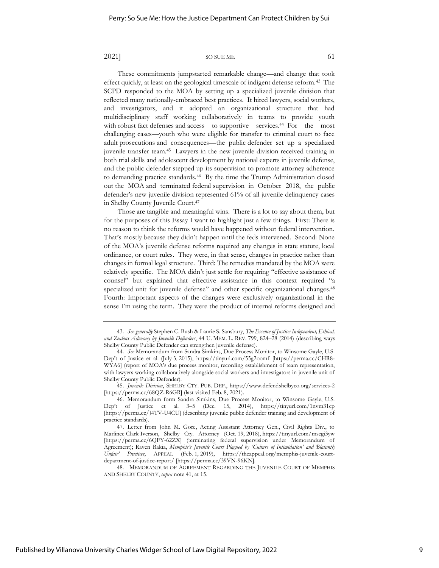These commitments jumpstarted remarkable change—and change that took effect quickly, at least on the geological timescale of indigent defense reform.<sup>43</sup> The SCPD responded to the MOA by setting up a specialized juvenile division that reflected many nationally-embraced best practices. It hired lawyers, social workers, and investigators, and it adopted an organizational structure that had multidisciplinary staff working collaboratively in teams to provide youth with robust fact defenses and access to supportive services.<sup>44</sup> For the most challenging cases—youth who were eligible for transfer to criminal court to face adult prosecutions and consequences—the public defender set up a specialized juvenile transfer team.<sup>45</sup> Lawyers in the new juvenile division received training in both trial skills and adolescent development by national experts in juvenile defense, and the public defender stepped up its supervision to promote attorney adherence to demanding practice standards.<sup>46</sup> By the time the Trump Administration closed out the MOA and terminated federal supervision in October 2018, the public defender's new juvenile division represented 61% of all juvenile delinquency cases in Shelby County Juvenile Court.<sup>47</sup>

Those are tangible and meaningful wins. There is a lot to say about them, but for the purposes of this Essay I want to highlight just a few things. First: There is no reason to think the reforms would have happened without federal intervention. That's mostly because they didn't happen until the feds intervened. Second: None of the MOA's juvenile defense reforms required any changes in state statute, local ordinance, or court rules. They were, in that sense, changes in practice rather than changes in formal legal structure. Third: The remedies mandated by the MOA were relatively specific. The MOA didn't just settle for requiring "effective assistance of counsel" but explained that effective assistance in this context required "a specialized unit for juvenile defense" and other specific organizational changes.<sup>48</sup> Fourth: Important aspects of the changes were exclusively organizational in the sense I'm using the term. They were the product of internal reforms designed and

45. *Juvenile Division*, SHELBY CTY. PUB. DEF., https://www.defendshelbyco.org/services-2 [https://perma.cc/68QZ-R6GR] (last visited Feb. 8, 2021).

48. MEMORANDUM OF AGREEMENT REGARDING THE JUVENILE COURT OF MEMPHIS AND SHELBY COUNTY, *supra* note 41, at 15.

<sup>43.</sup> *See generally* Stephen C. Bush & Laurie S. Sansbury, *The Essence of Justice: Independent, Ethical, and Zealous Advocacy by Juvenile Defenders*, 44 U. MEM. L. REV. 799, 824–28 (2014) (describing ways Shelby County Public Defender can strengthen juvenile defense).

<sup>44.</sup> *See* Memorandum from Sandra Simkins, Due Process Monitor, to Winsome Gayle, U.S. Dep't of Justice et al. (July 3, 2015), https://tinyurl.com/55g2oomf [https://perma.cc/CHR8- WYA6] (report of MOA's due process monitor, recording establishment of team representation, with lawyers working collaboratively alongside social workers and investigators in juvenile unit of Shelby County Public Defender).

<sup>46.</sup> Memorandum form Sandra Simkins, Due Process Monitor, to Winsome Gayle, U.S. Dep't of Justice et al. 3–5 (Dec. 15, 2014), https://tinyurl.com/1nvm31cp [https://perma.cc/J4TV-U4CU] (describing juvenile public defender training and development of practice standards).

<sup>47.</sup> Letter from John M. Gore, Acting Assistant Attorney Gen., Civil Rights Div., to Marlinee Clark Iverson, Shelby Cty. Attorney (Oct. 19, 2018), https://tinyurl.com/msegi3yw [https://perma.cc/6QFY-62ZX] (terminating federal supervision under Memorandum of Agreement); Raven Rakia, *Memphis's Juvenile Court Plagued by 'Culture of Intimidation' and 'Blatantly Unfair' Practices*, APPEAL (Feb. 1, 2019), https://theappeal.org/memphis-juvenile-courtdepartment-of-justice-report/ [https://perma.cc/39VN-96KN].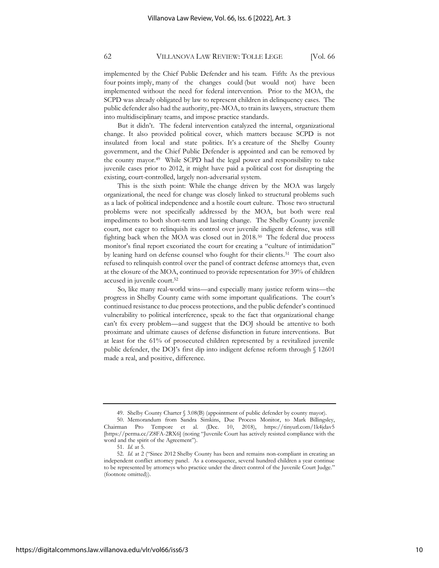implemented by the Chief Public Defender and his team. Fifth: As the previous four points imply, many of the changes could (but would not) have been implemented without the need for federal intervention. Prior to the MOA, the SCPD was already obligated by law to represent children in delinquency cases. The public defender also had the authority, pre-MOA, to train its lawyers, structure them into multidisciplinary teams, and impose practice standards.

But it didn't. The federal intervention catalyzed the internal, organizational change. It also provided political cover, which matters because SCPD is not insulated from local and state politics. It's a creature of the Shelby County government, and the Chief Public Defender is appointed and can be removed by the county mayor.<sup>49</sup> While SCPD had the legal power and responsibility to take juvenile cases prior to 2012, it might have paid a political cost for disrupting the existing, court-controlled, largely non-adversarial system.

This is the sixth point: While the change driven by the MOA was largely organizational, the need for change was closely linked to structural problems such as a lack of political independence and a hostile court culture. Those two structural problems were not specifically addressed by the MOA, but both were real impediments to both short-term and lasting change. The Shelby County juvenile court, not eager to relinquish its control over juvenile indigent defense, was still fighting back when the MOA was closed out in 2018.<sup>50</sup> The federal due process monitor's final report excoriated the court for creating a "culture of intimidation" by leaning hard on defense counsel who fought for their clients.<sup>51</sup> The court also refused to relinquish control over the panel of contract defense attorneys that, even at the closure of the MOA, continued to provide representation for 39% of children accused in juvenile court.<sup>52</sup>

So, like many real-world wins—and especially many justice reform wins—the progress in Shelby County came with some important qualifications. The court's continued resistance to due process protections, and the public defender's continued vulnerability to political interference, speak to the fact that organizational change can't fix every problem—and suggest that the DOJ should be attentive to both proximate and ultimate causes of defense disfunction in future interventions. But at least for the 61% of prosecuted children represented by a revitalized juvenile public defender, the DOJ's first dip into indigent defense reform through § 12601 made a real, and positive, difference.

<sup>49.</sup> Shelby County Charter § 3.08(B) (appointment of public defender by county mayor). 50. Memorandum from Sandra Simkins, Due Process Monitor, to Mark Billingsley, Chairman Pro Tempore et al. (Dec. 10, 2018), https://tinyurl.com/1k4jdav5 [https://perma.cc/Z8FA-2RX6] (noting "Juvenile Court has actively resisted compliance with the word and the spirit of the Agreement").

<sup>51.</sup> *Id.* at 5.

<sup>52.</sup> *Id.* at 2 ("Since 2012 Shelby County has been and remains non-compliant in creating an independent conflict attorney panel. As a consequence, several hundred children a year continue to be represented by attorneys who practice under the direct control of the Juvenile Court Judge." (footnote omitted)).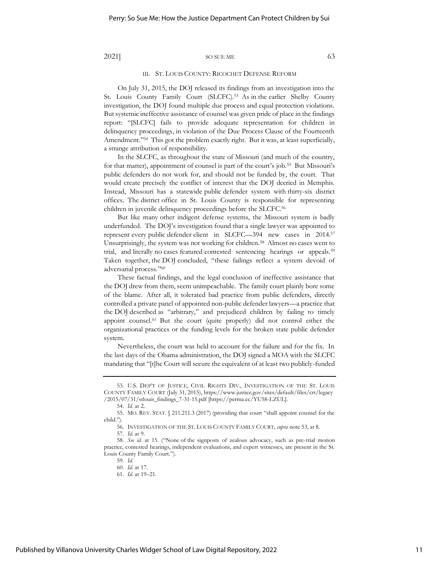#### III. ST. LOUIS COUNTY: RICOCHET DEFENSE REFORM

On July 31, 2015, the DOJ released its findings from an investigation into the St. Louis County Family Court (SLCFC).<sup>53</sup> As in the earlier Shelby County investigation, the DOJ found multiple due process and equal protection violations. But systemic ineffective assistance of counsel was given pride of place in the findings report: "[SLCFC] fails to provide adequate representation for children in delinquency proceedings, in violation of the Due Process Clause of the Fourteenth Amendment."<sup>54</sup> This got the problem exactly right. But it was, at least superficially, a strange attribution of responsibility.

In the SLCFC, as throughout the state of Missouri (and much of the country, for that matter), appointment of counsel is part of the court's job.<sup>55</sup> But Missouri's public defenders do not work for, and should not be funded by, the court. That would create precisely the conflict of interest that the DOJ decried in Memphis. Instead, Missouri has a statewide public defender system with thirty-six district offices. The district office in St. Louis County is responsible for representing children in juvenile delinquency proceedings before the SLCFC.<sup>56</sup>

But like many other indigent defense systems, the Missouri system is badly underfunded. The DOJ's investigation found that a single lawyer was appointed to represent every public defender client in SLCFC—394 new cases in 2014.<sup>57</sup> Unsurprisingly, the system was not working for children.<sup>58</sup> Almost no cases went to trial, and literally no cases featured contested sentencing hearings or appeals.<sup>59</sup> Taken together, the DOJ concluded, "these failings reflect a system devoid of adversarial process." 60

These factual findings, and the legal conclusion of ineffective assistance that the DOJ drew from them, seem unimpeachable. The family court plainly bore some of the blame. After all, it tolerated bad practice from public defenders, directly controlled a private panel of appointed non-public defender lawyers—a practice that the DOJ described as "arbitrary," and prejudiced children by failing to timely appoint counsel.<sup>61</sup> But the court (quite properly) did not control either the organizational practices or the funding levels for the broken state public defender system.

Nevertheless, the court was held to account for the failure and for the fix. In the last days of the Obama administration, the DOJ signed a MOA with the SLCFC mandating that "[t]he Court will secure the equivalent of at least two publicly-funded

61. *Id.* at 19–21.

<sup>53.</sup> U.S. DEP'T OF JUSTICE, CIVIL RIGHTS DIV., INVESTIGATION OF THE ST. LOUIS COUNTY FAMILY COURT (July 31, 2015), https://www.justice.gov/sites/default/files/crt/legacy /2015/07/31/stlouis\_findings\_7-31-15.pdf [https://perma.cc/YU58-LZUL].

<sup>54.</sup> *Id.* at 2.

<sup>55.</sup> MO. REV. STAT. § 211.211.3 (2017) (providing that court "shall appoint counsel for the child.").

<sup>56.</sup> INVESTIGATION OF THE ST. LOUIS COUNTY FAMILY COURT, *supra* note 53, at 8.

<sup>57.</sup> *Id.* at 9.

<sup>58.</sup> *See id.* at 15. ("None of the signposts of zealous advocacy, such as pre-trial motion practice, contested hearings, independent evaluations, and expert witnesses, are present in the St. Louis County Family Court.").

<sup>59.</sup> *Id.*

<sup>60.</sup> *Id.* at 17.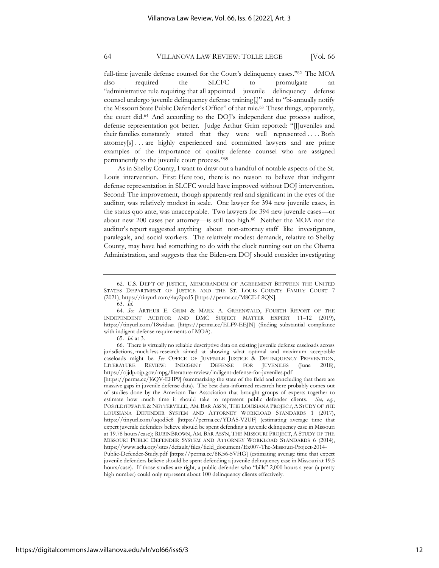full-time juvenile defense counsel for the Court's delinquency cases."<sup>62</sup> The MOA also required the SLCFC to promulgate an "administrative rule requiring that all appointed juvenile delinquency defense counsel undergo juvenile delinquency defense training[,]" and to "bi-annually notify the Missouri State Public Defender's Office" of that rule.<sup>63</sup> These things, apparently, the court did.<sup>64</sup> And according to the DOJ's independent due process auditor, defense representation got better. Judge Arthur Grim reported: "[J]uveniles and their families constantly stated that they were well represented . . . . Both attorney[s] . . . are highly experienced and committed lawyers and are prime examples of the importance of quality defense counsel who are assigned permanently to the juvenile court process." 65

As in Shelby County, I want to draw out a handful of notable aspects of the St. Louis intervention. First: Here too, there is no reason to believe that indigent defense representation in SLCFC would have improved without DOJ intervention. Second: The improvement, though apparently real and significant in the eyes of the auditor, was relatively modest in scale. One lawyer for 394 new juvenile cases, in the status quo ante, was unacceptable. Two lawyers for 394 new juvenile cases—or about new 200 cases per attorney—is still too high.<sup>66</sup> Neither the MOA nor the auditor's report suggested anything about non-attorney staff like investigators, paralegals, and social workers. The relatively modest demands, relative to Shelby County, may have had something to do with the clock running out on the Obama Administration, and suggests that the Biden-era DOJ should consider investigating

<sup>62.</sup> U.S. DEP'T OF JUSTICE, MEMORANDUM OF AGREEMENT BETWEEN THE UNITED STATES DEPARTMENT OF JUSTICE AND THE ST. LOUIS COUNTY FAMILY COURT 7 (2021), https://tinyurl.com/4ay2pcd5 [https://perma.cc/M8CE-L9QN].

<sup>63.</sup> *Id.*

<sup>64.</sup> *See* ARTHUR E. GRIM & MARK A. GREENWALD, FOURTH REPORT OF THE INDEPENDENT AUDITOR AND DMC SUBJECT MATTER EXPERT 11–12 (2019), https://tinyurl.com/18widsaa [https://perma.cc/ELF9-EEJN] (finding substantial compliance with indigent defense requirements of MOA).

<sup>65.</sup> *Id.* at 3.

<sup>66.</sup> There is virtually no reliable descriptive data on existing juvenile defense caseloads across jurisdictions, much less research aimed at showing what optimal and maximum acceptable caseloads might be. *See* OFFICE OF JUVENILE JUSTICE & DELINQUENCY PREVENTION, LITERATURE REVIEW: INDIGENT DEFENSE FOR JUVENILES (June 2018), https://ojjdp.ojp.gov/mpg/literature-review/indigent-defense-for-juveniles.pdf

<sup>[</sup>https://perma.cc/J6QV-EHP9] (summarizing the state of the field and concluding that there are massive gaps in juvenile defense data). The best data-informed research here probably comes out of studies done by the American Bar Association that brought groups of experts together to estimate how much time it should take to represent public defender clients. *See, e.g.*, POSTLETHWAITE & NETTERVILLE, AM. BAR ASS'N, THE LOUISIANA PROJECT,A STUDY OF THE LOUISIANA DEFENDER SYSTEM AND ATTORNEY WORKLOAD STANDARDS 1 (2017), https://tinyurl.com/uqod5c8 [https://perma.cc/YDA5-V2UF] (estimating average time that expert juvenile defenders believe should be spent defending a juvenile delinquency case in Missouri at 19.78 hours/case); RUBINBROWN, AM. BAR ASS'N, THE MISSOURI PROJECT, A STUDY OF THE MISSOURI PUBLIC DEFENDER SYSTEM AND ATTORNEY WORKLOAD STANDARDS 6 (2014), https://www.aclu.org/sites/default/files/field\_document/Ex007-The-Missouri-Project-2014-

Public-Defender-Study.pdf [https://perma.cc/8K56-5VHG] (estimating average time that expert juvenile defenders believe should be spent defending a juvenile delinquency case in Missouri at 19.5 hours/case). If those studies are right, a public defender who "bills" 2,000 hours a year (a pretty high number) could only represent about 100 delinquency clients effectively.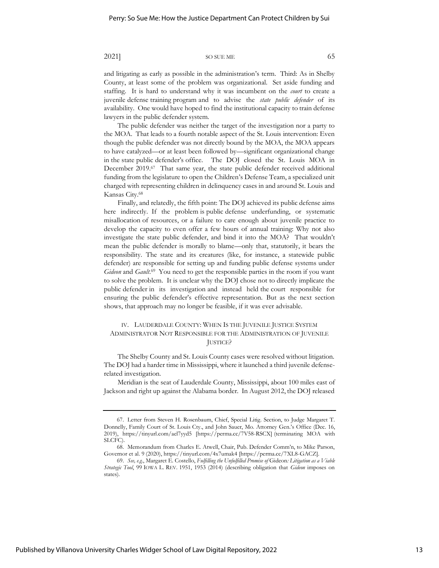and litigating as early as possible in the administration's term. Third: As in Shelby County, at least some of the problem was organizational. Set aside funding and staffing. It is hard to understand why it was incumbent on the *court* to create a juvenile defense training program and to advise the *state public defender* of its availability. One would have hoped to find the institutional capacity to train defense lawyers in the public defender system.

The public defender was neither the target of the investigation nor a party to the MOA. That leads to a fourth notable aspect of the St. Louis intervention: Even though the public defender was not directly bound by the MOA, the MOA appears to have catalyzed—or at least been followed by—significant organizational change in the state public defender's office. The DOJ closed the St. Louis MOA in December 2019.<sup>67</sup> That same year, the state public defender received additional funding from the legislature to open the Children's Defense Team, a specialized unit charged with representing children in delinquency cases in and around St. Louis and Kansas City.<sup>68</sup>

Finally, and relatedly, the fifth point: The DOJ achieved its public defense aims here indirectly. If the problem is public defense underfunding, or systematic misallocation of resources, or a failure to care enough about juvenile practice to develop the capacity to even offer a few hours of annual training: Why not also investigate the state public defender, and bind it into the MOA? That wouldn't mean the public defender is morally to blame—only that, statutorily, it bears the responsibility. The state and its creatures (like, for instance, a statewide public defender) are responsible for setting up and funding public defense systems under Gideon and Gault.<sup>69</sup> You need to get the responsible parties in the room if you want to solve the problem. It is unclear why the DOJ chose not to directly implicate the public defender in its investigation and instead held the court responsible for ensuring the public defender's effective representation. But as the next section shows, that approach may no longer be feasible, if it was ever advisable.

### IV. LAUDERDALE COUNTY: WHEN IS THE JUVENILE JUSTICE SYSTEM ADMINISTRATOR NOT RESPONSIBLE FOR THE ADMINISTRATION OF JUVENILE JUSTICE?

The Shelby County and St. Louis County cases were resolved without litigation. The DOJ had a harder time in Mississippi, where it launched a third juvenile defenserelated investigation.

Meridian is the seat of Lauderdale County, Mississippi, about 100 miles east of Jackson and right up against the Alabama border. In August 2012, the DOJ released

<sup>67.</sup> Letter from Steven H. Rosenbaum, Chief, Special Litig. Section, to Judge Margaret T. Donnelly, Family Court of St. Louis Cty., and John Sauer, Mo. Attorney Gen.'s Office (Dec. 16, 2019), https://tinyurl.com/ael7yyd5 [https://perma.cc/7V58-RSCX] (terminating MOA with SLCFC).

<sup>68.</sup> Memorandum from Charles E. Atwell, Chair, Pub. Defender Comm'n, to Mike Parson, Governor et al. 9 (2020), https://tinyurl.com/4x7umak4 [https://perma.cc/7XL8-GACZ].

<sup>69.</sup> *See, e.g.*, Margaret E. Costello, *Fulfilling the Unfulfilled Promise of* Gideon*: Litigation as a Viable Strategic Tool*, 99 IOWA L. REV. 1951, 1953 (2014) (describing obligation that *Gideon* imposes on states).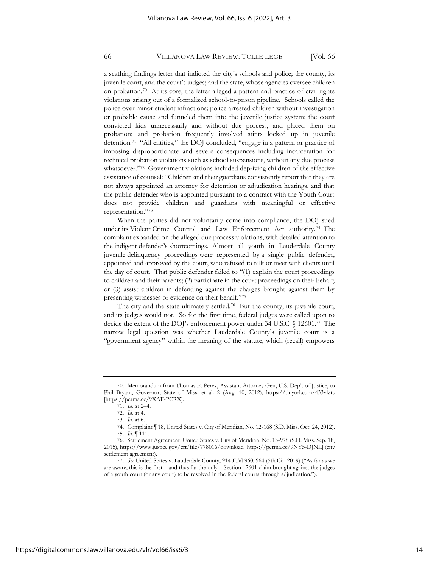a scathing findings letter that indicted the city's schools and police; the county, its juvenile court, and the court's judges; and the state, whose agencies oversee children on probation.<sup>70</sup> At its core, the letter alleged a pattern and practice of civil rights violations arising out of a formalized school-to-prison pipeline. Schools called the police over minor student infractions; police arrested children without investigation or probable cause and funneled them into the juvenile justice system; the court convicted kids unnecessarily and without due process, and placed them on probation; and probation frequently involved stints locked up in juvenile detention.<sup>71</sup> "All entities," the DOJ concluded, "engage in a pattern or practice of imposing disproportionate and severe consequences including incarceration for technical probation violations such as school suspensions, without any due process whatsoever."<sup>72</sup> Government violations included depriving children of the effective assistance of counsel: "Children and their guardians consistently report that they are not always appointed an attorney for detention or adjudication hearings, and that the public defender who is appointed pursuant to a contract with the Youth Court does not provide children and guardians with meaningful or effective representation." 73

When the parties did not voluntarily come into compliance, the DOJ sued under its Violent Crime Control and Law Enforcement Act authority.<sup>74</sup> The complaint expanded on the alleged due process violations, with detailed attention to the indigent defender's shortcomings. Almost all youth in Lauderdale County juvenile delinquency proceedings were represented by a single public defender, appointed and approved by the court, who refused to talk or meet with clients until the day of court. That public defender failed to "(1) explain the court proceedings to children and their parents; (2) participate in the court proceedings on their behalf; or (3) assist children in defending against the charges brought against them by presenting witnesses or evidence on their behalf." 75

The city and the state ultimately settled.<sup>76</sup> But the county, its juvenile court, and its judges would not. So for the first time, federal judges were called upon to decide the extent of the DOJ's enforcement power under 34 U.S.C. § 12601.<sup>77</sup> The narrow legal question was whether Lauderdale County's juvenile court is a "government agency" within the meaning of the statute, which (recall) empowers

<sup>70.</sup> Memorandum from Thomas E. Perez, Assistant Attorney Gen, U.S. Dep't of Justice, to Phil Bryant, Governor, State of Miss. et al. 2 (Aug. 10, 2012), https://tinyurl.com/433vlzts [https://perma.cc/9XAF-PCRX].

<sup>71.</sup> *Id.* at 2–4.

<sup>72.</sup> *Id.* at 4.

<sup>73.</sup> *Id.* at 6.

<sup>74.</sup> Complaint ¶ 18, United States v. City of Meridian, No. 12-168 (S.D. Miss. Oct. 24, 2012). 75. *Id.* ¶ 111.

<sup>76.</sup> Settlement Agreement, United States v. City of Meridian, No. 13-978 (S.D. Miss. Sep. 18, 2015), https://www.justice.gov/crt/file/778016/download [https://perma.cc/9NY5-DJNL] (city settlement agreement).

<sup>77.</sup> *See* United States v. Lauderdale County, 914 F.3d 960, 964 (5th Cir. 2019) ("As far as we are aware, this is the first—and thus far the only—Section 12601 claim brought against the judges of a youth court (or any court) to be resolved in the federal courts through adjudication.").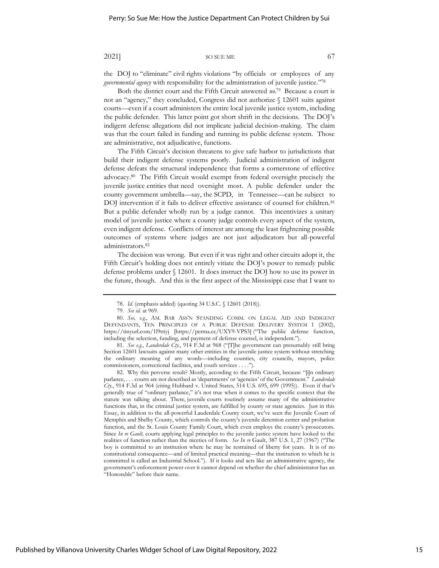the DOJ to "eliminate" civil rights violations "by officials or employees of any *governmental agency* with responsibility for the administration of juvenile justice." 78

Both the district court and the Fifth Circuit answered *no*. 79 Because a court is not an "agency," they concluded, Congress did not authorize § 12601 suits against courts—even if a court administers the entire local juvenile justice system, including the public defender. This latter point got short shrift in the decisions. The DOJ's indigent defense allegations did not implicate judicial decision-making. The claim was that the court failed in funding and running its public defense system. Those are administrative, not adjudicative, functions.

The Fifth Circuit's decision threatens to give safe harbor to jurisdictions that build their indigent defense systems poorly. Judicial administration of indigent defense defeats the structural independence that forms a cornerstone of effective advocacy.<sup>80</sup> The Fifth Circuit would exempt from federal oversight precisely the juvenile justice entities that need oversight most. A public defender under the county government umbrella—say, the SCPD, in Tennessee—can be subject to DOJ intervention if it fails to deliver effective assistance of counsel for children.<sup>81</sup> But a public defender wholly run by a judge cannot. This incentivizes a unitary model of juvenile justice where a county judge controls every aspect of the system, even indigent defense. Conflicts of interest are among the least frightening possible outcomes of systems where judges are not just adjudicators but all-powerful administrators.<sup>82</sup>

The decision was wrong. But even if it was right and other circuits adopt it, the Fifth Circuit's holding does not entirely vitiate the DOJ's power to remedy public defense problems under § 12601. It does instruct the DOJ how to use its power in the future, though. And this is the first aspect of the Mississippi case that I want to

<sup>78.</sup> *Id.* (emphasis added) (quoting 34 U.S.C. § 12601 (2018)).

<sup>79.</sup> *See id.* at 969.

<sup>80.</sup> *See, e.g.*, AM. BAR ASS'N STANDING COMM. ON LEGAL AID AND INDIGENT DEFENDANTS, TEN PRINCIPLES OF A PUBLIC DEFENSE DELIVERY SYSTEM 1 (2002), https://tinyurl.com/1l9ttiyj [https://perma.cc/UXY9-VPS3] ("The public defense function, including the selection, funding, and payment of defense counsel, is independent.").

<sup>81.</sup> *See e.g.*, *Lauderdale Cty.*, 914 F.3d at 968 ("[T]he government can presumably still bring Section 12601 lawsuits against many other entities in the juvenile justice system without stretching the ordinary meaning of any words—including counties, city councils, mayors, police commissioners, correctional facilities, and youth services . . . .").

<sup>82.</sup> Why this perverse result? Mostly, according to the Fifth Circuit, because "[i]n ordinary parlance, . . . courts are not described as 'departments' or 'agencies' of the Government." *Lauderdale Cty.*, 914 F.3d at 964 (citing Hubbard v. United States, 514 U.S. 695, 699 (1995)). Even if that's generally true of "ordinary parlance," it's not true when it comes to the specific context that the statute was talking about. There, juvenile courts routinely assume many of the administrative functions that, in the criminal justice system, are fulfilled by county or state agencies. Just in this Essay, in addition to the all-powerful Lauderdale County court, we've seen the Juvenile Court of Memphis and Shelby County, which controls the county's juvenile detention center and probation function, and the St. Louis County Family Court, which even employs the county's prosecutors. Since *In re Gault,* courts applying legal principles to the juvenile justice system have looked to the realities of function rather than the niceties of form. *See In re* Gault, 387 U.S. 1, 27 (1967) ("The boy is committed to an institution where he may be restrained of liberty for years. It is of no constitutional consequence—and of limited practical meaning—that the institution to which he is committed is called an Industrial School."). If it looks and acts like an administrative agency, the government's enforcement power over it cannot depend on whether the chief administrator has an "Honorable" before their name.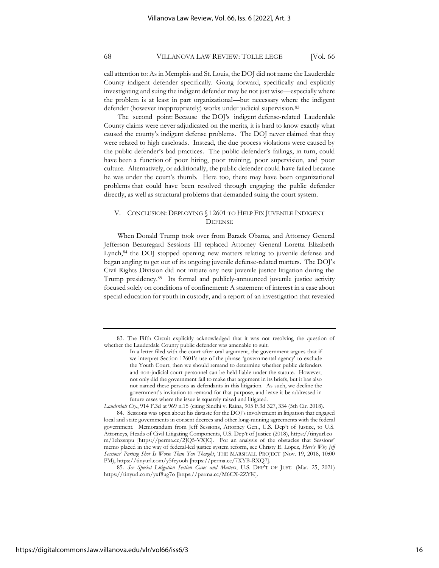call attention to: As in Memphis and St. Louis, the DOJ did not name the Lauderdale County indigent defender specifically. Going forward, specifically and explicitly investigating and suing the indigent defender may be not just wise—especially where the problem is at least in part organizational—but necessary where the indigent defender (however inappropriately) works under judicial supervision.<sup>83</sup>

The second point: Because the DOJ's indigent defense-related Lauderdale County claims were never adjudicated on the merits, it is hard to know exactly what caused the county's indigent defense problems. The DOJ never claimed that they were related to high caseloads. Instead, the due process violations were caused by the public defender's bad practices. The public defender's failings, in turn, could have been a function of poor hiring, poor training, poor supervision, and poor culture. Alternatively, or additionally, the public defender could have failed because he was under the court's thumb. Here too, there may have been organizational problems that could have been resolved through engaging the public defender directly, as well as structural problems that demanded suing the court system.

### V. CONCLUSION: DEPLOYING § 12601 TO HELP FIX JUVENILE INDIGENT **DEFENSE**

When Donald Trump took over from Barack Obama, and Attorney General Jefferson Beauregard Sessions III replaced Attorney General Loretta Elizabeth Lynch,<sup>84</sup> the DOJ stopped opening new matters relating to juvenile defense and began angling to get out of its ongoing juvenile defense-related matters. The DOJ's Civil Rights Division did not initiate any new juvenile justice litigation during the Trump presidency.<sup>85</sup> Its formal and publicly-announced juvenile justice activity focused solely on conditions of confinement: A statement of interest in a case about special education for youth in custody, and a report of an investigation that revealed

<sup>83.</sup> The Fifth Circuit explicitly acknowledged that it was not resolving the question of whether the Lauderdale County public defender was amenable to suit.

In a letter filed with the court after oral argument, the government argues that if we interpret Section 12601's use of the phrase 'governmental agency' to exclude the Youth Court, then we should remand to determine whether public defenders and non-judicial court personnel can be held liable under the statute. However, not only did the government fail to make that argument in its briefs, but it has also not named these persons as defendants in this litigation. As such, we decline the government's invitation to remand for that purpose, and leave it be addressed in future cases where the issue is squarely raised and litigated.

*Lauderdale Cty.*, 914 F.3d at 969 n.15 (citing Sindhi v. Raina, 905 F.3d 327, 334 (5th Cir. 2018). 84. Sessions was open about his distaste for the DOJ's involvement in litigation that engaged

local and state governments in consent decrees and other long-running agreements with the federal government. Memorandum from Jeff Sessions, Attorney Gen., U.S. Dep't of Justice, to U.S. Attorneys, Heads of Civil Litigating Components, U.S. Dep't of Justice (2018), https://tinyurl.co m/1ehxsnpu [https://perma.cc/2JQ5-VXJC]. For an analysis of the obstacles that Sessions' memo placed in the way of federal-led justice system reform, see Christy E. Lopez, *Here's Why Jeff Sessions' Parting Shot Is Worse Than You Thought*, THE MARSHALL PROJECT (Nov. 19, 2018, 10:00 PM), https://tinyurl.com/y5feyooh [https://perma.cc/7XYB-RXQ7].

<sup>85.</sup> *See Special Litigation Section Cases and Matters*, U.S. DEP'T OF JUST. (Mar. 25, 2021) https://tinyurl.com/yxf8ug7o [https://perma.cc/M6CX-2ZYK].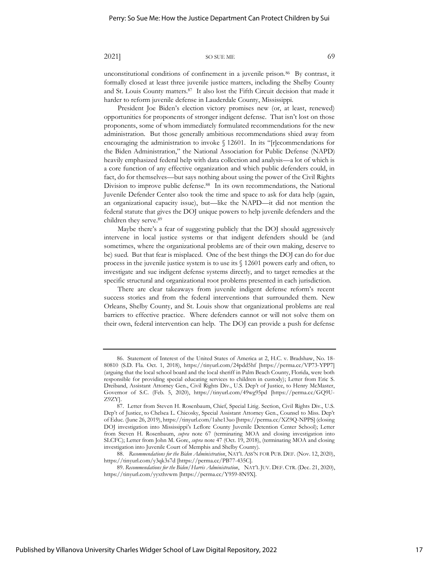unconstitutional conditions of confinement in a juvenile prison.<sup>86</sup> By contrast, it formally closed at least three juvenile justice matters, including the Shelby County and St. Louis County matters.<sup>87</sup> It also lost the Fifth Circuit decision that made it harder to reform juvenile defense in Lauderdale County, Mississippi.

President Joe Biden's election victory promises new (or, at least, renewed) opportunities for proponents of stronger indigent defense. That isn't lost on those proponents, some of whom immediately formulated recommendations for the new administration. But those generally ambitious recommendations shied away from encouraging the administration to invoke § 12601. In its "[r]ecommendations for the Biden Administration," the National Association for Public Defense (NAPD) heavily emphasized federal help with data collection and analysis—a lot of which is a core function of any effective organization and which public defenders could, in fact, do for themselves—but says nothing about using the power of the Civil Rights Division to improve public defense.<sup>88</sup> In its own recommendations, the National Juvenile Defender Center also took the time and space to ask for data help (again, an organizational capacity issue), but—like the NAPD—it did not mention the federal statute that gives the DOJ unique powers to help juvenile defenders and the children they serve.<sup>89</sup>

Maybe there's a fear of suggesting publicly that the DOJ should aggressively intervene in local justice systems or that indigent defenders should be (and sometimes, where the organizational problems are of their own making, deserve to be) sued. But that fear is misplaced. One of the best things the DOJ can do for due process in the juvenile justice system is to use its § 12601 powers early and often, to investigate and sue indigent defense systems directly, and to target remedies at the specific structural and organizational root problems presented in each jurisdiction.

There are clear takeaways from juvenile indigent defense reform's recent success stories and from the federal interventions that surrounded them. New Orleans, Shelby County, and St. Louis show that organizational problems are real barriers to effective practice. Where defenders cannot or will not solve them on their own, federal intervention can help. The DOJ can provide a push for defense

88. *Recommendations for the Biden Administration*, NAT'L ASS'N FOR PUB. DEF. (Nov. 12, 2020), https://tinyurl.com/y3qk3s7d [https://perma.cc/PB77-435C].

89. *Recommendations for the Biden/Harris Administration*, NAT'L JUV. DEF. CTR. (Dec. 21, 2020), https://tinyurl.com/yyxthvwm [https://perma.cc/Y959-8N9X].

<sup>86.</sup> Statement of Interest of the United States of America at 2, H.C. v. Bradshaw, No. 18- 80810 (S.D. Fla. Oct. 1, 2018), https://tinyurl.com/24pdd5hf [https://perma.cc/VP73-YPP7] (arguing that the local school board and the local sheriff in Palm Beach County, Florida, were both responsible for providing special educating services to children in custody); Letter from Eric S. Dreiband, Assistant Attorney Gen., Civil Rights Div., U.S. Dep't of Justice, to Henry McMaster, Governor of S.C. (Feb. 5, 2020), https://tinyurl.com/49wg95pd [https://perma.cc/GQ9U-Z9ZY].

<sup>87.</sup> Letter from Steven H. Rosenbaum, Chief, Special Litig. Section, Civil Rights Div., U.S. Dep't of Justice, to Chelsea L. Chicosky, Special Assistant Attorney Gen., Counsel to Miss. Dep't of Educ. (June 26, 2019), https://tinyurl.com/1ahe13uo [https://perma.cc/XZ9Q-NPPS] (closing DOJ investigation into Mississippi's Leflore County Juvenile Detention Center School); Letter from Steven H. Rosenbaum, *supra* note 67 (terminating MOA and closing investigation into SLCFC); Letter from John M. Gore, *supra* note 47 (Oct. 19, 2018), (terminating MOA and closing investigation into Juvenile Court of Memphis and Shelby County).